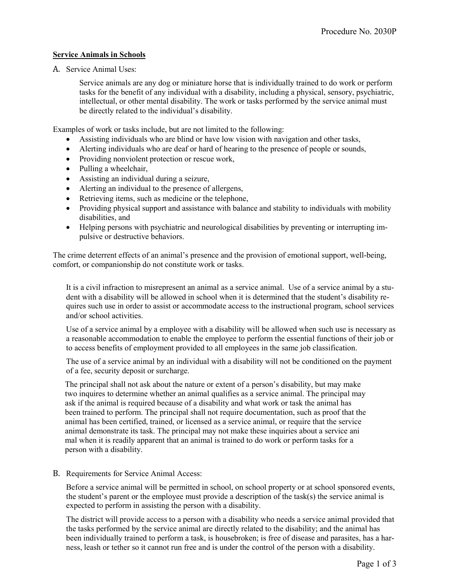## Service Animals in Schools

A. Service Animal Uses:

Service animals are any dog or miniature horse that is individually trained to do work or perform tasks for the benefit of any individual with a disability, including a physical, sensory, psychiatric, intellectual, or other mental disability. The work or tasks performed by the service animal must be directly related to the individual's disability.

Examples of work or tasks include, but are not limited to the following:

- Assisting individuals who are blind or have low vision with navigation and other tasks,
- Alerting individuals who are deaf or hard of hearing to the presence of people or sounds,
- Providing nonviolent protection or rescue work,
- Pulling a wheelchair,
- Assisting an individual during a seizure,
- Alerting an individual to the presence of allergens,
- Retrieving items, such as medicine or the telephone,
- Providing physical support and assistance with balance and stability to individuals with mobility disabilities, and
- Helping persons with psychiatric and neurological disabilities by preventing or interrupting impulsive or destructive behaviors.

The crime deterrent effects of an animal's presence and the provision of emotional support, well-being, comfort, or companionship do not constitute work or tasks.

It is a civil infraction to misrepresent an animal as a service animal. Use of a service animal by a student with a disability will be allowed in school when it is determined that the student's disability requires such use in order to assist or accommodate access to the instructional program, school services and/or school activities.

Use of a service animal by a employee with a disability will be allowed when such use is necessary as a reasonable accommodation to enable the employee to perform the essential functions of their job or to access benefits of employment provided to all employees in the same job classification.

The use of a service animal by an individual with a disability will not be conditioned on the payment of a fee, security deposit or surcharge.

 The principal shall not ask about the nature or extent of a person's disability, but may make two inquires to determine whether an animal qualifies as a service animal. The principal may ask if the animal is required because of a disability and what work or task the animal has been trained to perform. The principal shall not require documentation, such as proof that the animal has been certified, trained, or licensed as a service animal, or require that the service animal demonstrate its task. The principal may not make these inquiries about a service ani mal when it is readily apparent that an animal is trained to do work or perform tasks for a person with a disability.

## B. Requirements for Service Animal Access:

Before a service animal will be permitted in school, on school property or at school sponsored events, the student's parent or the employee must provide a description of the task(s) the service animal is expected to perform in assisting the person with a disability.

The district will provide access to a person with a disability who needs a service animal provided that the tasks performed by the service animal are directly related to the disability; and the animal has been individually trained to perform a task, is housebroken; is free of disease and parasites, has a harness, leash or tether so it cannot run free and is under the control of the person with a disability.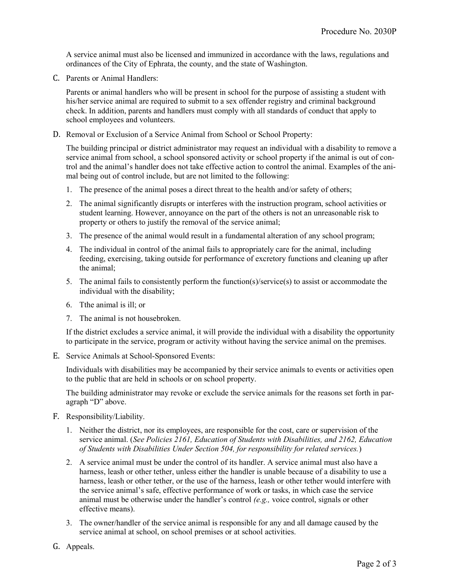A service animal must also be licensed and immunized in accordance with the laws, regulations and ordinances of the City of Ephrata, the county, and the state of Washington.

C. Parents or Animal Handlers:

Parents or animal handlers who will be present in school for the purpose of assisting a student with his/her service animal are required to submit to a sex offender registry and criminal background check. In addition, parents and handlers must comply with all standards of conduct that apply to school employees and volunteers.

D. Removal or Exclusion of a Service Animal from School or School Property:

The building principal or district administrator may request an individual with a disability to remove a service animal from school, a school sponsored activity or school property if the animal is out of control and the animal's handler does not take effective action to control the animal. Examples of the animal being out of control include, but are not limited to the following:

- 1. The presence of the animal poses a direct threat to the health and/or safety of others;
- 2. The animal significantly disrupts or interferes with the instruction program, school activities or student learning. However, annoyance on the part of the others is not an unreasonable risk to property or others to justify the removal of the service animal;
- 3. The presence of the animal would result in a fundamental alteration of any school program;
- 4. The individual in control of the animal fails to appropriately care for the animal, including feeding, exercising, taking outside for performance of excretory functions and cleaning up after the animal;
- 5. The animal fails to consistently perform the function(s)/service(s) to assist or accommodate the individual with the disability;
- 6. Tthe animal is ill; or
- 7. The animal is not housebroken.

If the district excludes a service animal, it will provide the individual with a disability the opportunity to participate in the service, program or activity without having the service animal on the premises.

E. Service Animals at School-Sponsored Events:

Individuals with disabilities may be accompanied by their service animals to events or activities open to the public that are held in schools or on school property.

The building administrator may revoke or exclude the service animals for the reasons set forth in paragraph "D" above.

- F. Responsibility/Liability.
	- 1. Neither the district, nor its employees, are responsible for the cost, care or supervision of the service animal. (See Policies 2161, Education of Students with Disabilities, and 2162, Education of Students with Disabilities Under Section 504, for responsibility for related services.)
	- 2. A service animal must be under the control of its handler. A service animal must also have a harness, leash or other tether, unless either the handler is unable because of a disability to use a harness, leash or other tether, or the use of the harness, leash or other tether would interfere with the service animal's safe, effective performance of work or tasks, in which case the service animal must be otherwise under the handler's control  $(e.g.,\n$  voice control, signals or other effective means).
	- 3. The owner/handler of the service animal is responsible for any and all damage caused by the service animal at school, on school premises or at school activities.
- G. Appeals.